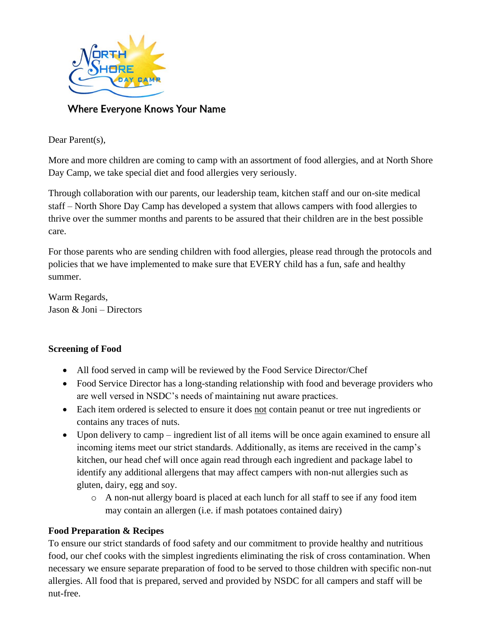

**Where Everyone Knows Your Name** 

Dear Parent(s),

More and more children are coming to camp with an assortment of food allergies, and at North Shore Day Camp, we take special diet and food allergies very seriously.

Through collaboration with our parents, our leadership team, kitchen staff and our on-site medical staff – North Shore Day Camp has developed a system that allows campers with food allergies to thrive over the summer months and parents to be assured that their children are in the best possible care.

For those parents who are sending children with food allergies, please read through the protocols and policies that we have implemented to make sure that EVERY child has a fun, safe and healthy summer.

Warm Regards, Jason & Joni – Directors

## **Screening of Food**

- All food served in camp will be reviewed by the Food Service Director/Chef
- Food Service Director has a long-standing relationship with food and beverage providers who are well versed in NSDC's needs of maintaining nut aware practices.
- Each item ordered is selected to ensure it does not contain peanut or tree nut ingredients or contains any traces of nuts.
- Upon delivery to camp ingredient list of all items will be once again examined to ensure all incoming items meet our strict standards. Additionally, as items are received in the camp's kitchen, our head chef will once again read through each ingredient and package label to identify any additional allergens that may affect campers with non-nut allergies such as gluten, dairy, egg and soy.
	- o A non-nut allergy board is placed at each lunch for all staff to see if any food item may contain an allergen (i.e. if mash potatoes contained dairy)

## **Food Preparation & Recipes**

To ensure our strict standards of food safety and our commitment to provide healthy and nutritious food, our chef cooks with the simplest ingredients eliminating the risk of cross contamination. When necessary we ensure separate preparation of food to be served to those children with specific non-nut allergies. All food that is prepared, served and provided by NSDC for all campers and staff will be nut-free.